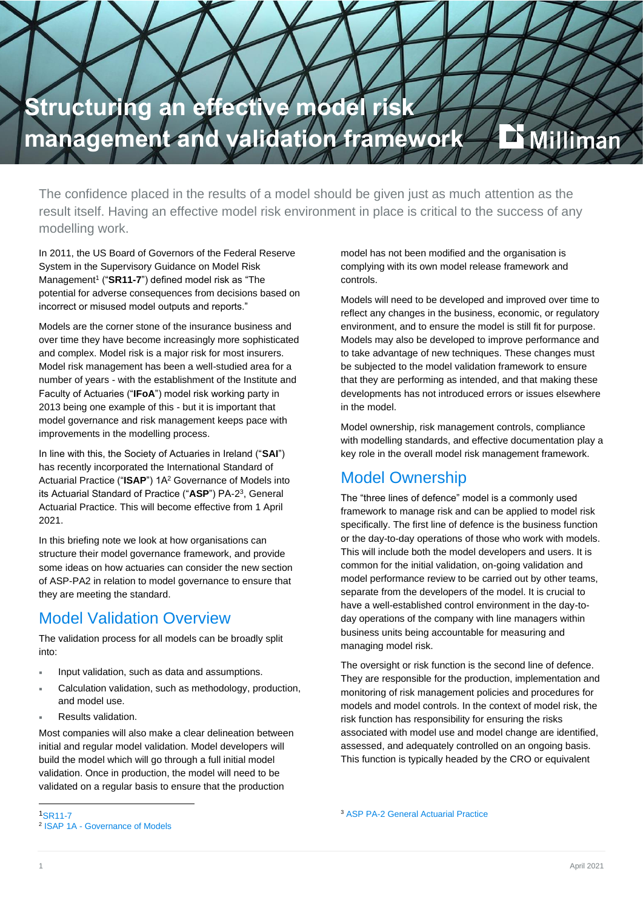

The confidence placed in the results of a model should be given just as much attention as the result itself. Having an effective model risk environment in place is critical to the success of any modelling work.

In 2011, the US Board of Governors of the Federal Reserve System in the Supervisory Guidance on Model Risk Management<sup>1</sup> ("SR11-7") defined model risk as "The potential for adverse consequences from decisions based on incorrect or misused model outputs and reports."

Models are the corner stone of the insurance business and over time they have become increasingly more sophisticated and complex. Model risk is a major risk for most insurers. Model risk management has been a well-studied area for a number of years - with the establishment of the Institute and Faculty of Actuaries ("**IFoA**") model risk working party in 2013 being one example of this - but it is important that model governance and risk management keeps pace with improvements in the modelling process.

In line with this, the Society of Actuaries in Ireland ("**SAI**") has recently incorporated the International Standard of Actuarial Practice ("**ISAP**") 1A<sup>2</sup> Governance of Models into its Actuarial Standard of Practice ("**ASP**") PA-2 3 , General Actuarial Practice. This will become effective from 1 April 2021.

In this briefing note we look at how organisations can structure their model governance framework, and provide some ideas on how actuaries can consider the new section of ASP-PA2 in relation to model governance to ensure that they are meeting the standard.

### Model Validation Overview

The validation process for all models can be broadly split into:

- Input validation, such as data and assumptions.
- Calculation validation, such as methodology, production, and model use.
- Results validation.

Most companies will also make a clear delineation between initial and regular model validation. Model developers will build the model which will go through a full initial model validation. Once in production, the model will need to be validated on a regular basis to ensure that the production

model has not been modified and the organisation is complying with its own model release framework and controls.

Models will need to be developed and improved over time to reflect any changes in the business, economic, or regulatory environment, and to ensure the model is still fit for purpose. Models may also be developed to improve performance and to take advantage of new techniques. These changes must be subjected to the model validation framework to ensure that they are performing as intended, and that making these developments has not introduced errors or issues elsewhere in the model.

Model ownership, risk management controls, compliance with modelling standards, and effective documentation play a key role in the overall model risk management framework.

## Model Ownership

The "three lines of defence" model is a commonly used framework to manage risk and can be applied to model risk specifically. The first line of defence is the business function or the day-to-day operations of those who work with models. This will include both the model developers and users. It is common for the initial validation, on-going validation and model performance review to be carried out by other teams, separate from the developers of the model. It is crucial to have a well-established control environment in the day-today operations of the company with line managers within business units being accountable for measuring and managing model risk.

The oversight or risk function is the second line of defence. They are responsible for the production, implementation and monitoring of risk management policies and procedures for models and model controls. In the context of model risk, the risk function has responsibility for ensuring the risks associated with model use and model change are identified, assessed, and adequately controlled on an ongoing basis. This function is typically headed by the CRO or equivalent

<sup>3</sup> ASP PA-2 [General Actuarial Practice](https://web.actuaries.ie/sites/default/files/asp/ASP%20PA-2/Final%20Version%20of%20PA%202%20v1.1%20April%202021.pdf)

<sup>1</sup>SR<sub>11-7</sub> 2 ISAP 1A - [Governance of Models](http://www.actuaries.org/CTTEES_ASC/isaps/Final_ISAPs_posted/ISAP_1A_Final_November2016_Web.pdf)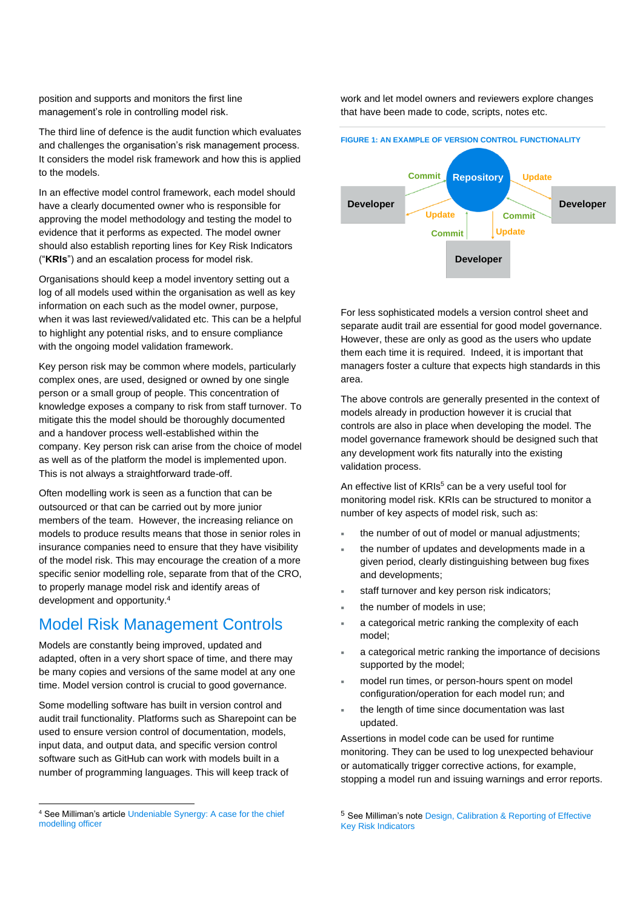position and supports and monitors the first line management's role in controlling model risk.

The third line of defence is the audit function which evaluates and challenges the organisation's risk management process. It considers the model risk framework and how this is applied to the models.

In an effective model control framework, each model should have a clearly documented owner who is responsible for approving the model methodology and testing the model to evidence that it performs as expected. The model owner should also establish reporting lines for Key Risk Indicators ("**KRIs**") and an escalation process for model risk.

Organisations should keep a model inventory setting out a log of all models used within the organisation as well as key information on each such as the model owner, purpose, when it was last reviewed/validated etc. This can be a helpful to highlight any potential risks, and to ensure compliance with the ongoing model validation framework.

Key person risk may be common where models, particularly complex ones, are used, designed or owned by one single person or a small group of people. This concentration of knowledge exposes a company to risk from staff turnover. To mitigate this the model should be thoroughly documented and a handover process well-established within the company. Key person risk can arise from the choice of model as well as of the platform the model is implemented upon. This is not always a straightforward trade-off.

Often modelling work is seen as a function that can be outsourced or that can be carried out by more junior members of the team. However, the increasing reliance on models to produce results means that those in senior roles in insurance companies need to ensure that they have visibility of the model risk. This may encourage the creation of a more specific senior modelling role, separate from that of the CRO, to properly manage model risk and identify areas of development and opportunity.<sup>4</sup>

#### Model Risk Management Controls

Models are constantly being improved, updated and adapted, often in a very short space of time, and there may be many copies and versions of the same model at any one time. Model version control is crucial to good governance.

Some modelling software has built in version control and audit trail functionality. Platforms such as Sharepoint can be used to ensure version control of documentation, models, input data, and output data, and specific version control software such as GitHub can work with models built in a number of programming languages. This will keep track of

<sup>4</sup> See Milliman's articl[e Undeniable Synergy: A case for the chief](https://www.milliman.com/en/insight/undeniable-synergy-a-case-for-the-chief-modeling-officer)  [modelling officer](https://www.milliman.com/en/insight/undeniable-synergy-a-case-for-the-chief-modeling-officer)

work and let model owners and reviewers explore changes that have been made to code, scripts, notes etc.

#### **FIGURE 1: AN EXAMPLE OF VERSION CONTROL FUNCTIONALITY**



For less sophisticated models a version control sheet and separate audit trail are essential for good model governance. However, these are only as good as the users who update them each time it is required. Indeed, it is important that managers foster a culture that expects high standards in this area.

The above controls are generally presented in the context of models already in production however it is crucial that controls are also in place when developing the model. The model governance framework should be designed such that any development work fits naturally into the existing validation process.

An effective list of KRIs<sup>5</sup> can be a very useful tool for monitoring model risk. KRIs can be structured to monitor a number of key aspects of model risk, such as:

- the number of out of model or manual adjustments;
- the number of updates and developments made in a given period, clearly distinguishing between bug fixes and developments;
- staff turnover and key person risk indicators;
- the number of models in use;
- a categorical metric ranking the complexity of each model;
- a categorical metric ranking the importance of decisions supported by the model;
- model run times, or person-hours spent on model configuration/operation for each model run; and
- the length of time since documentation was last updated.

Assertions in model code can be used for runtime monitoring. They can be used to log unexpected behaviour or automatically trigger corrective actions, for example, stopping a model run and issuing warnings and error reports.

<sup>5</sup> See Milliman's not[e Design, Calibration & Reporting of Effective](https://ie.milliman.com/-/media/milliman/pdfs/2020-articles/articles/11-17-20-kri-design-considerations-reporting.ashx)  [Key Risk Indicators](https://ie.milliman.com/-/media/milliman/pdfs/2020-articles/articles/11-17-20-kri-design-considerations-reporting.ashx)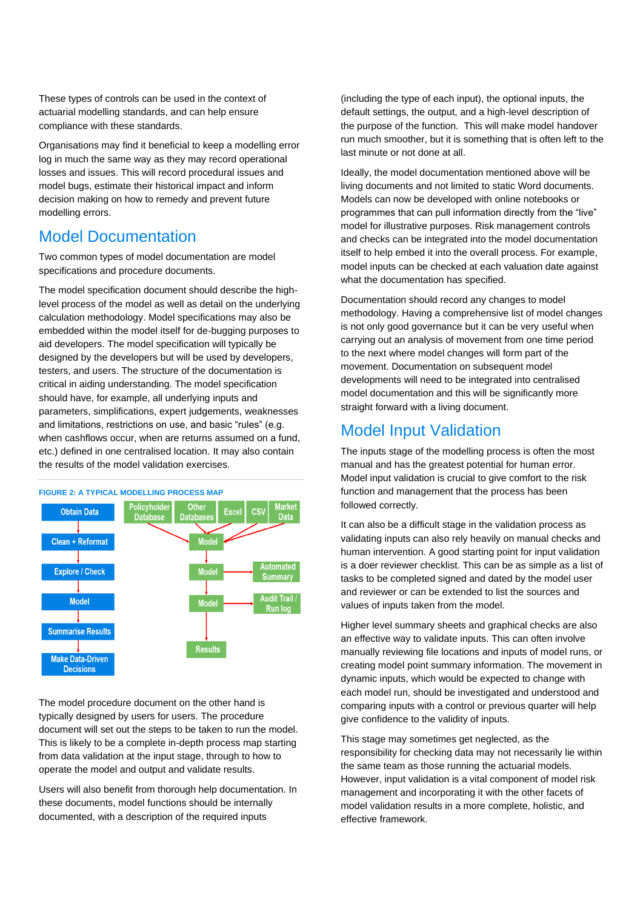These types of controls can be used in the context of actuarial modelling standards, and can help ensure compliance with these standards.

Organisations may find it beneficial to keep a modelling error log in much the same way as they may record operational losses and issues. This will record procedural issues and model bugs, estimate their historical impact and inform decision making on how to remedy and prevent future modelling errors.

### Model Documentation

Two common types of model documentation are model specifications and procedure documents.

The model specification document should describe the highlevel process of the model as well as detail on the underlying calculation methodology. Model specifications may also be embedded within the model itself for de-bugging purposes to aid developers. The model specification will typically be designed by the developers but will be used by developers, testers, and users. The structure of the documentation is critical in aiding understanding. The model specification should have, for example, all underlying inputs and parameters, simplifications, expert judgements, weaknesses and limitations, restrictions on use, and basic "rules" (e.g. when cashflows occur, when are returns assumed on a fund, etc.) defined in one centralised location. It may also contain the results of the model validation exercises.



The model procedure document on the other hand is typically designed by users for users. The procedure document will set out the steps to be taken to run the model. This is likely to be a complete in-depth process map starting from data validation at the input stage, through to how to operate the model and output and validate results.

Users will also benefit from thorough help documentation. In these documents, model functions should be internally documented, with a description of the required inputs

(including the type of each input), the optional inputs, the default settings, the output, and a high-level description of the purpose of the function. This will make model handover run much smoother, but it is something that is often left to the last minute or not done at all.

Ideally, the model documentation mentioned above will be living documents and not limited to static Word documents. Models can now be developed with online notebooks or programmes that can pull information directly from the "live" model for illustrative purposes. Risk management controls and checks can be integrated into the model documentation itself to help embed it into the overall process. For example, model inputs can be checked at each valuation date against what the documentation has specified.

Documentation should record any changes to model methodology. Having a comprehensive list of model changes is not only good governance but it can be very useful when carrying out an analysis of movement from one time period to the next where model changes will form part of the movement. Documentation on subsequent model developments will need to be integrated into centralised model documentation and this will be significantly more straight forward with a living document.

### Model Input Validation

The inputs stage of the modelling process is often the most manual and has the greatest potential for human error. Model input validation is crucial to give comfort to the risk function and management that the process has been followed correctly.

It can also be a difficult stage in the validation process as validating inputs can also rely heavily on manual checks and human intervention. A good starting point for input validation is a doer reviewer checklist. This can be as simple as a list of tasks to be completed signed and dated by the model user and reviewer or can be extended to list the sources and values of inputs taken from the model.

Higher level summary sheets and graphical checks are also an effective way to validate inputs. This can often involve manually reviewing file locations and inputs of model runs, or creating model point summary information. The movement in dynamic inputs, which would be expected to change with each model run, should be investigated and understood and comparing inputs with a control or previous quarter will help give confidence to the validity of inputs.

This stage may sometimes get neglected, as the responsibility for checking data may not necessarily lie within the same team as those running the actuarial models. However, input validation is a vital component of model risk management and incorporating it with the other facets of model validation results in a more complete, holistic, and effective framework.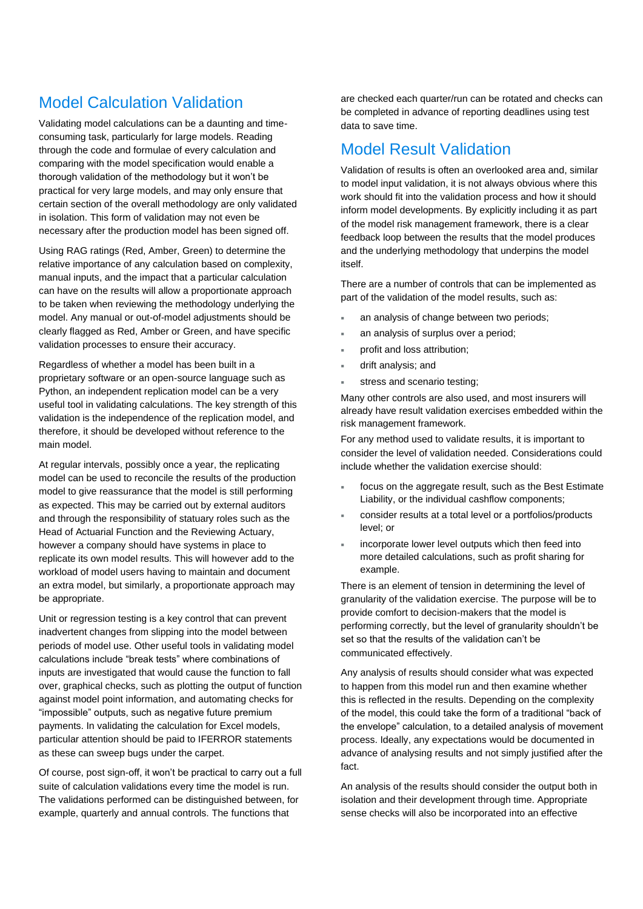# Model Calculation Validation

Validating model calculations can be a daunting and timeconsuming task, particularly for large models. Reading through the code and formulae of every calculation and comparing with the model specification would enable a thorough validation of the methodology but it won't be practical for very large models, and may only ensure that certain section of the overall methodology are only validated in isolation. This form of validation may not even be necessary after the production model has been signed off.

Using RAG ratings (Red, Amber, Green) to determine the relative importance of any calculation based on complexity, manual inputs, and the impact that a particular calculation can have on the results will allow a proportionate approach to be taken when reviewing the methodology underlying the model. Any manual or out-of-model adjustments should be clearly flagged as Red, Amber or Green, and have specific validation processes to ensure their accuracy.

Regardless of whether a model has been built in a proprietary software or an open-source language such as Python, an independent replication model can be a very useful tool in validating calculations. The key strength of this validation is the independence of the replication model, and therefore, it should be developed without reference to the main model.

At regular intervals, possibly once a year, the replicating model can be used to reconcile the results of the production model to give reassurance that the model is still performing as expected. This may be carried out by external auditors and through the responsibility of statuary roles such as the Head of Actuarial Function and the Reviewing Actuary, however a company should have systems in place to replicate its own model results. This will however add to the workload of model users having to maintain and document an extra model, but similarly, a proportionate approach may be appropriate.

Unit or regression testing is a key control that can prevent inadvertent changes from slipping into the model between periods of model use. Other useful tools in validating model calculations include "break tests" where combinations of inputs are investigated that would cause the function to fall over, graphical checks, such as plotting the output of function against model point information, and automating checks for "impossible" outputs, such as negative future premium payments. In validating the calculation for Excel models, particular attention should be paid to IFERROR statements as these can sweep bugs under the carpet.

Of course, post sign-off, it won't be practical to carry out a full suite of calculation validations every time the model is run. The validations performed can be distinguished between, for example, quarterly and annual controls. The functions that

are checked each quarter/run can be rotated and checks can be completed in advance of reporting deadlines using test data to save time.

#### Model Result Validation

Validation of results is often an overlooked area and, similar to model input validation, it is not always obvious where this work should fit into the validation process and how it should inform model developments. By explicitly including it as part of the model risk management framework, there is a clear feedback loop between the results that the model produces and the underlying methodology that underpins the model itself.

There are a number of controls that can be implemented as part of the validation of the model results, such as:

- an analysis of change between two periods;
- an analysis of surplus over a period;
- profit and loss attribution;
- drift analysis; and
- stress and scenario testing;

Many other controls are also used, and most insurers will already have result validation exercises embedded within the risk management framework.

For any method used to validate results, it is important to consider the level of validation needed. Considerations could include whether the validation exercise should:

- focus on the aggregate result, such as the Best Estimate Liability, or the individual cashflow components;
- consider results at a total level or a portfolios/products level; or
- incorporate lower level outputs which then feed into more detailed calculations, such as profit sharing for example.

There is an element of tension in determining the level of granularity of the validation exercise. The purpose will be to provide comfort to decision-makers that the model is performing correctly, but the level of granularity shouldn't be set so that the results of the validation can't be communicated effectively.

Any analysis of results should consider what was expected to happen from this model run and then examine whether this is reflected in the results. Depending on the complexity of the model, this could take the form of a traditional "back of the envelope" calculation, to a detailed analysis of movement process. Ideally, any expectations would be documented in advance of analysing results and not simply justified after the fact.

An analysis of the results should consider the output both in isolation and their development through time. Appropriate sense checks will also be incorporated into an effective